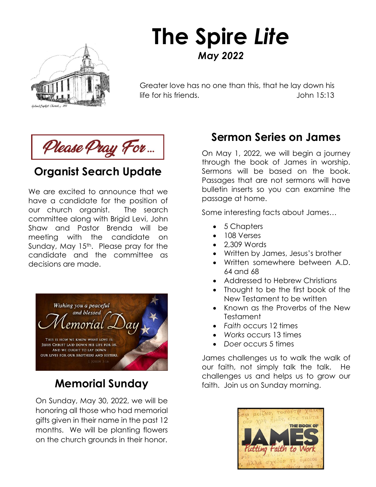

# **The Spire** *Lite May 2022*

Greater love has no one than this, that he lay down his life for his friends. John 15:13

Please Pray For...

### **Organist Search Update**

We are excited to announce that we have a candidate for the position of our church organist. The search committee along with Brigid Levi, John Shaw and Pastor Brenda will be meeting with the candidate on Sunday, May 15<sup>th</sup>. Please pray for the candidate and the committee as decisions are made.



On Sunday, May 30, 2022, we will be honoring all those who had memorial gifts given in their name in the past 12 months. We will be planting flowers on the church grounds in their honor.

### **Sermon Series on James**

On May 1, 2022, we will begin a journey through the book of James in worship. Sermons will be based on the book. Passages that are not sermons will have bulletin inserts so you can examine the passage at home.

Some interesting facts about James…

- 5 Chapters
- 108 Verses
- 2,309 Words
- Written by James, Jesus's brother
- Written somewhere between A.D. 64 and 68
- Addressed to Hebrew Christians
- Thought to be the first book of the New Testament to be written
- Known as the Proverbs of the New Testament
- *Faith* occurs 12 times
- *Works* occurs 13 times
- *Doer* occurs 5 times

 $\frac{1}{3}$ James challenges us to walk the walk of our faith, not simply talk the talk. He challenges us and helps us to grow our **Memorial Sunday Examples of any morning.** 

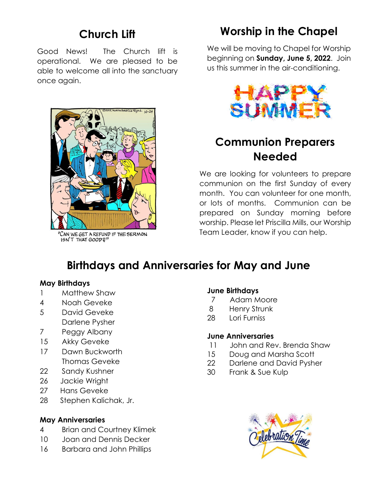### **Church Lift**

Good News! The Church lift is operational. We are pleased to be able to welcome all into the sanctuary once again.



CAN WE GET A REFUND IF THE SERMON

## **Worship in the Chapel**

We will be moving to Chapel for Worship beginning on **Sunday, June 5, 2022**. Join us this summer in the air-conditioning.



### **Communion Preparers Needed**

We are looking for volunteers to prepare communion on the first Sunday of every month. You can volunteer for one month, or lots of months. Communion can be prepared on Sunday morning before worship. Please let Priscilla Mills, our Worship Team Leader, know if you can help.

### **Birthdays and Anniversaries for May and June**

#### **May Birthdays**

- 1 Matthew Shaw
- 4 Noah Geveke
- 5 David Geveke Darlene Pysher
- 7 Peggy Albany
- 15 Akky Geveke
- 17 Dawn Buckworth Thomas Geveke
- 22 Sandy Kushner
- 26 Jackie Wright
- 27 Hans Geveke
- 28 Stephen Kalichak, Jr.

### **May Anniversaries**

- 4 Brian and Courtney Klimek
- 10 Joan and Dennis Decker
- 16 Barbara and John Phillips

### **June Birthdays**

- 7 Adam Moore
- 8 Henry Strunk
- 28 Lori Furniss

### **June Anniversaries**

- 11 John and Rev. Brenda Shaw
- 15 Doug and Marsha Scott
- 22 Darlene and David Pysher
- 30 Frank & Sue Kulp

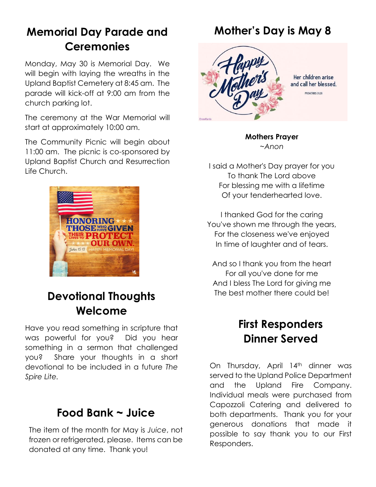### **Memorial Day Parade and Ceremonies**

Monday, May 30 is Memorial Day. We will begin with laying the wreaths in the Upland Baptist Cemetery at 8:45 am. The parade will kick-off at 9:00 am from the church parking lot.

The ceremony at the War Memorial will start at approximately 10:00 am.

The Community Picnic will begin about 11:00 am. The picnic is co-sponsored by Upland Baptist Church and Resurrection Life Church.



### **Devotional Thoughts Welcome**

Have you read something in scripture that was powerful for you? Did you hear something in a sermon that challenged you? Share your thoughts in a short devotional to be included in a future *The Spire Lite.*

### **Food Bank ~ Juice**

The item of the month for May is *Juice*, not frozen or refrigerated, please. Items can be donated at any time. Thank you!

### **Mother's Day is May 8**



Her children arise and call her blessed. PROVERBS 31:28

**Mothers Prayer** *~Anon* 

I said a Mother's Day prayer for you To thank The Lord above For blessing me with a lifetime Of your tenderhearted love.

I thanked God for the caring You've shown me through the years, For the closeness we've enjoyed In time of laughter and of tears.

And so I thank you from the heart For all you've done for me And I bless The Lord for giving me The best mother there could be!

### **First Responders Dinner Served**

On Thursday, April 14th dinner was served to the Upland Police Department and the Upland Fire Company. Individual meals were purchased from Capozzoli Catering and delivered to both departments. Thank you for your generous donations that made it possible to say thank you to our First Responders.